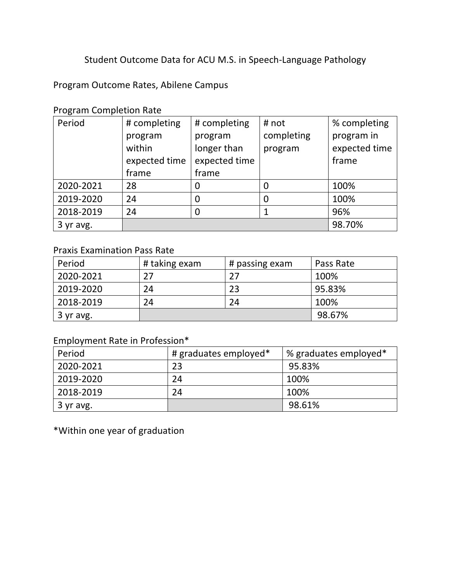### Student Outcome Data for ACU M.S. in Speech-Language Pathology

Program Outcome Rates, Abilene Campus

Program Completion Rate

| Period    | # completing  | # completing  | # not      | % completing  |
|-----------|---------------|---------------|------------|---------------|
|           | program       | program       | completing | program in    |
|           | within        | longer than   | program    | expected time |
|           | expected time | expected time |            | frame         |
|           | frame         | frame         |            |               |
| 2020-2021 | 28            |               | 0          | 100%          |
| 2019-2020 | 24            | 0             | 0          | 100%          |
| 2018-2019 | 24            |               |            | 96%           |
| 3 yr avg. |               |               |            | 98.70%        |

#### Praxis Examination Pass Rate

| Period    | # taking exam | # passing exam | Pass Rate |
|-----------|---------------|----------------|-----------|
| 2020-2021 | 27            |                | 100%      |
| 2019-2020 | 24            | 23             | 95.83%    |
| 2018-2019 | 24            | 24             | 100%      |
| 3 yr avg. |               |                | 98.67%    |

# Employment Rate in Profession\*

| Period    | # graduates employed* | % graduates employed* |
|-----------|-----------------------|-----------------------|
| 2020-2021 | 23                    | 95.83%                |
| 2019-2020 | 24                    | 100%                  |
| 2018-2019 | 24                    | 100%                  |
| 3 yr avg. |                       | 98.61%                |

\*Within one year of graduation